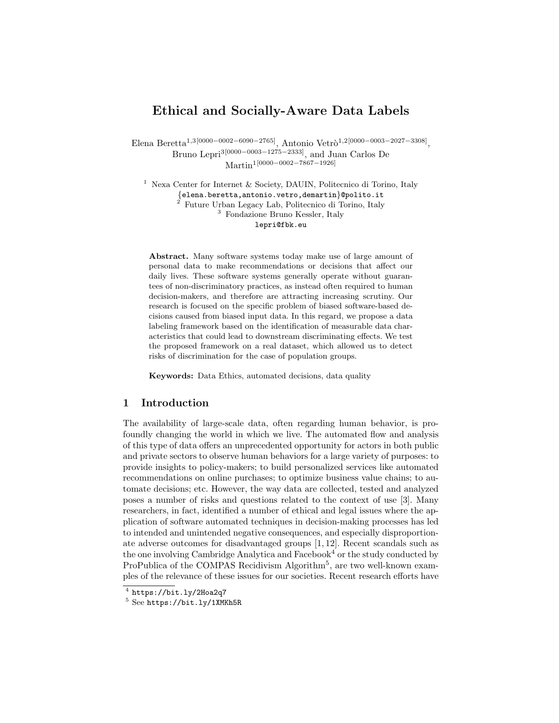# Ethical and Socially-Aware Data Labels

Elena Beretta<sup>1,3[0000–0002–6090–2765]</sup>, Antonio Vetrò<sup>1,2[0000–0003–2027–3308]</sup>, Bruno Lepri3[0000−0003−1275−2333], and Juan Carlos De Martin1[0000−0002−7867−1926]

<sup>1</sup> Nexa Center for Internet & Society, DAUIN, Politecnico di Torino, Italy {elena.beretta,antonio.vetro,demartin}@polito.it <sup>2</sup> Future Urban Legacy Lab, Politecnico di Torino, Italy <sup>3</sup> Fondazione Bruno Kessler, Italy lepri@fbk.eu

Abstract. Many software systems today make use of large amount of personal data to make recommendations or decisions that affect our daily lives. These software systems generally operate without guarantees of non-discriminatory practices, as instead often required to human decision-makers, and therefore are attracting increasing scrutiny. Our research is focused on the specific problem of biased software-based decisions caused from biased input data. In this regard, we propose a data labeling framework based on the identification of measurable data characteristics that could lead to downstream discriminating effects. We test the proposed framework on a real dataset, which allowed us to detect risks of discrimination for the case of population groups.

Keywords: Data Ethics, automated decisions, data quality

### 1 Introduction

The availability of large-scale data, often regarding human behavior, is profoundly changing the world in which we live. The automated flow and analysis of this type of data offers an unprecedented opportunity for actors in both public and private sectors to observe human behaviors for a large variety of purposes: to provide insights to policy-makers; to build personalized services like automated recommendations on online purchases; to optimize business value chains; to automate decisions; etc. However, the way data are collected, tested and analyzed poses a number of risks and questions related to the context of use [3]. Many researchers, in fact, identified a number of ethical and legal issues where the application of software automated techniques in decision-making processes has led to intended and unintended negative consequences, and especially disproportionate adverse outcomes for disadvantaged groups [1, 12]. Recent scandals such as the one involving Cambridge Analytica and  $Facebook<sup>4</sup>$  or the study conducted by ProPublica of the COMPAS Recidivism Algorithm<sup>5</sup>, are two well-known examples of the relevance of these issues for our societies. Recent research efforts have

 $^4$  https://bit.ly/2Hoa2q7

<sup>5</sup> See https://bit.ly/1XMKh5R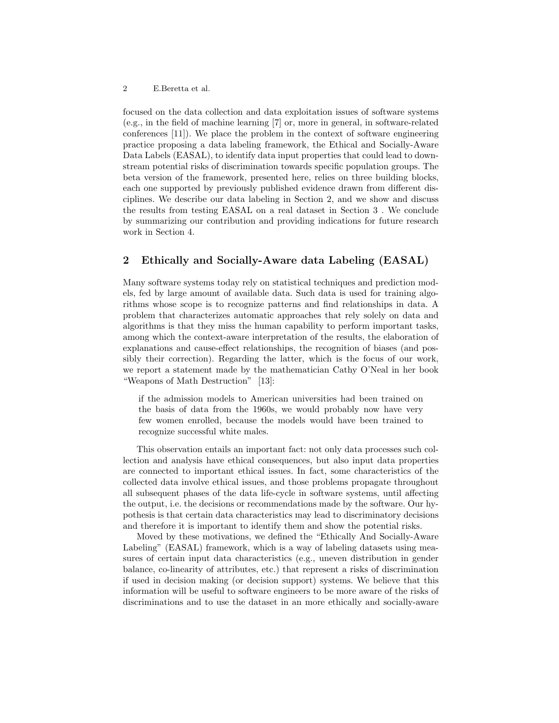focused on the data collection and data exploitation issues of software systems (e.g., in the field of machine learning [7] or, more in general, in software-related conferences [11]). We place the problem in the context of software engineering practice proposing a data labeling framework, the Ethical and Socially-Aware Data Labels (EASAL), to identify data input properties that could lead to downstream potential risks of discrimination towards specific population groups. The beta version of the framework, presented here, relies on three building blocks, each one supported by previously published evidence drawn from different disciplines. We describe our data labeling in Section 2, and we show and discuss the results from testing EASAL on a real dataset in Section 3 . We conclude by summarizing our contribution and providing indications for future research work in Section 4.

# 2 Ethically and Socially-Aware data Labeling (EASAL)

Many software systems today rely on statistical techniques and prediction models, fed by large amount of available data. Such data is used for training algorithms whose scope is to recognize patterns and find relationships in data. A problem that characterizes automatic approaches that rely solely on data and algorithms is that they miss the human capability to perform important tasks, among which the context-aware interpretation of the results, the elaboration of explanations and cause-effect relationships, the recognition of biases (and possibly their correction). Regarding the latter, which is the focus of our work, we report a statement made by the mathematician Cathy O'Neal in her book "Weapons of Math Destruction" [13]:

if the admission models to American universities had been trained on the basis of data from the 1960s, we would probably now have very few women enrolled, because the models would have been trained to recognize successful white males.

This observation entails an important fact: not only data processes such collection and analysis have ethical consequences, but also input data properties are connected to important ethical issues. In fact, some characteristics of the collected data involve ethical issues, and those problems propagate throughout all subsequent phases of the data life-cycle in software systems, until affecting the output, i.e. the decisions or recommendations made by the software. Our hypothesis is that certain data characteristics may lead to discriminatory decisions and therefore it is important to identify them and show the potential risks.

Moved by these motivations, we defined the "Ethically And Socially-Aware Labeling" (EASAL) framework, which is a way of labeling datasets using measures of certain input data characteristics (e.g., uneven distribution in gender balance, co-linearity of attributes, etc.) that represent a risks of discrimination if used in decision making (or decision support) systems. We believe that this information will be useful to software engineers to be more aware of the risks of discriminations and to use the dataset in an more ethically and socially-aware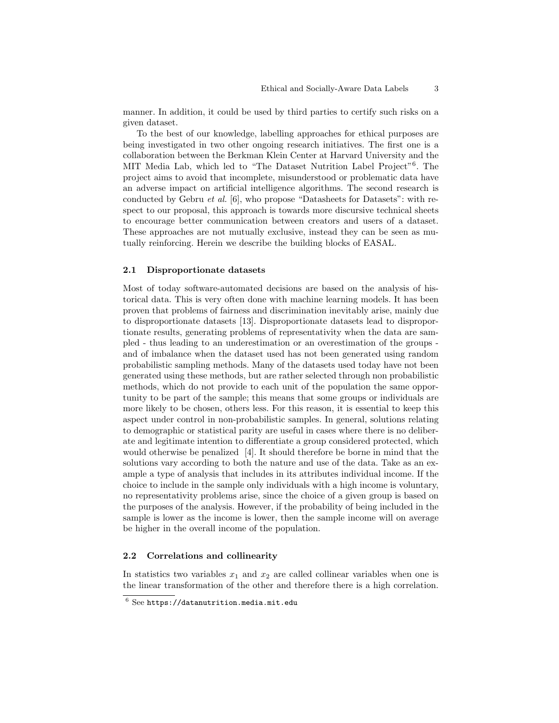manner. In addition, it could be used by third parties to certify such risks on a given dataset.

To the best of our knowledge, labelling approaches for ethical purposes are being investigated in two other ongoing research initiatives. The first one is a collaboration between the Berkman Klein Center at Harvard University and the MIT Media Lab, which led to "The Dataset Nutrition Label Project"<sup>6</sup>. The project aims to avoid that incomplete, misunderstood or problematic data have an adverse impact on artificial intelligence algorithms. The second research is conducted by Gebru et al. [6], who propose "Datasheets for Datasets": with respect to our proposal, this approach is towards more discursive technical sheets to encourage better communication between creators and users of a dataset. These approaches are not mutually exclusive, instead they can be seen as mutually reinforcing. Herein we describe the building blocks of EASAL.

### 2.1 Disproportionate datasets

Most of today software-automated decisions are based on the analysis of historical data. This is very often done with machine learning models. It has been proven that problems of fairness and discrimination inevitably arise, mainly due to disproportionate datasets [13]. Disproportionate datasets lead to disproportionate results, generating problems of representativity when the data are sampled - thus leading to an underestimation or an overestimation of the groups and of imbalance when the dataset used has not been generated using random probabilistic sampling methods. Many of the datasets used today have not been generated using these methods, but are rather selected through non probabilistic methods, which do not provide to each unit of the population the same opportunity to be part of the sample; this means that some groups or individuals are more likely to be chosen, others less. For this reason, it is essential to keep this aspect under control in non-probabilistic samples. In general, solutions relating to demographic or statistical parity are useful in cases where there is no deliberate and legitimate intention to differentiate a group considered protected, which would otherwise be penalized [4]. It should therefore be borne in mind that the solutions vary according to both the nature and use of the data. Take as an example a type of analysis that includes in its attributes individual income. If the choice to include in the sample only individuals with a high income is voluntary, no representativity problems arise, since the choice of a given group is based on the purposes of the analysis. However, if the probability of being included in the sample is lower as the income is lower, then the sample income will on average be higher in the overall income of the population.

### 2.2 Correlations and collinearity

In statistics two variables  $x_1$  and  $x_2$  are called collinear variables when one is the linear transformation of the other and therefore there is a high correlation.

<sup>6</sup> See https://datanutrition.media.mit.edu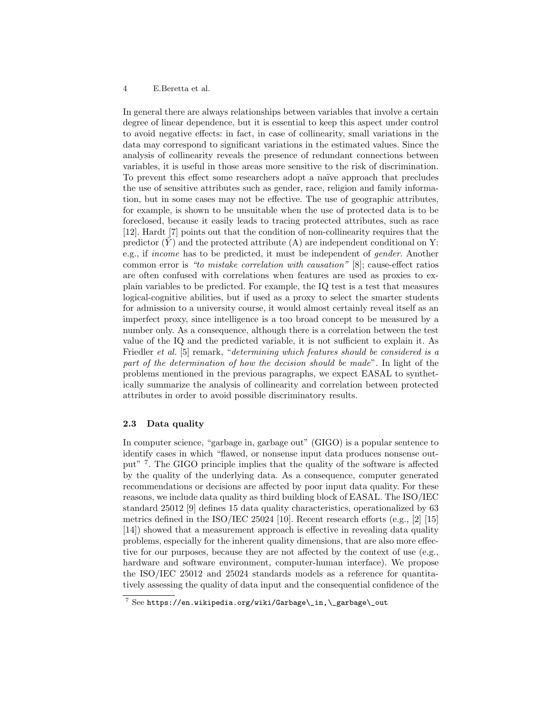#### 4 E.Beretta et al.

In general there are always relationships between variables that involve a certain degree of linear dependence, but it is essential to keep this aspect under control to avoid negative effects: in fact, in case of collinearity, small variations in the data may correspond to significant variations in the estimated values. Since the analysis of collinearity reveals the presence of redundant connections between variables, it is useful in those areas more sensitive to the risk of discrimination. To prevent this effect some researchers adopt a na¨ıve approach that precludes the use of sensitive attributes such as gender, race, religion and family information, but in some cases may not be effective. The use of geographic attributes, for example, is shown to be unsuitable when the use of protected data is to be foreclosed, because it easily leads to tracing protected attributes, such as race [12]. Hardt [7] points out that the condition of non-collinearity requires that the predictor  $(Y)$  and the protected attribute  $(A)$  are independent conditional on Y: e.g., if income has to be predicted, it must be independent of gender. Another common error is "to mistake correlation with causation" [8]; cause-effect ratios are often confused with correlations when features are used as proxies to explain variables to be predicted. For example, the IQ test is a test that measures logical-cognitive abilities, but if used as a proxy to select the smarter students for admission to a university course, it would almost certainly reveal itself as an imperfect proxy, since intelligence is a too broad concept to be measured by a number only. As a consequence, although there is a correlation between the test value of the IQ and the predicted variable, it is not sufficient to explain it. As Friedler *et al.* [5] remark, "determining which features should be considered is a part of the determination of how the decision should be made". In light of the problems mentioned in the previous paragraphs, we expect EASAL to synthetically summarize the analysis of collinearity and correlation between protected attributes in order to avoid possible discriminatory results.

### 2.3 Data quality

In computer science, "garbage in, garbage out" (GIGO) is a popular sentence to identify cases in which "flawed, or nonsense input data produces nonsense output" <sup>7</sup> . The GIGO principle implies that the quality of the software is affected by the quality of the underlying data. As a consequence, computer generated recommendations or decisions are affected by poor input data quality. For these reasons, we include data quality as third building block of EASAL. The ISO/IEC standard 25012 [9] defines 15 data quality characteristics, operationalized by 63 metrics defined in the ISO/IEC 25024 [10]. Recent research efforts (e.g., [2] [15] [14]) showed that a measurement approach is effective in revealing data quality problems, especially for the inherent quality dimensions, that are also more effective for our purposes, because they are not affected by the context of use (e.g., hardware and software environment, computer-human interface). We propose the ISO/IEC 25012 and 25024 standards models as a reference for quantitatively assessing the quality of data input and the consequential confidence of the

<sup>7</sup> See https://en.wikipedia.org/wiki/Garbage\\_in,\\_garbage\\_out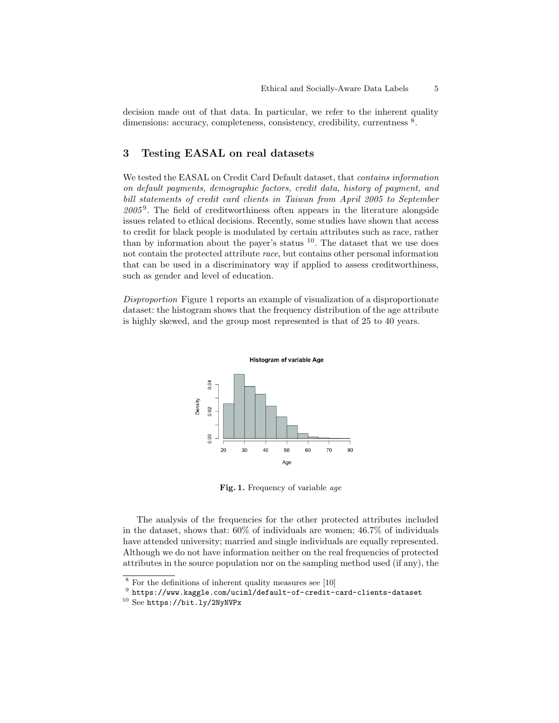decision made out of that data. In particular, we refer to the inherent quality dimensions: accuracy, completeness, consistency, credibility, currentness  $8$ .

## 3 Testing EASAL on real datasets

We tested the EASAL on Credit Card Default dataset, that contains information on default payments, demographic factors, credit data, history of payment, and bill statements of credit card clients in Taiwan from April 2005 to September  $2005<sup>9</sup>$ . The field of creditworthiness often appears in the literature alongside issues related to ethical decisions. Recently, some studies have shown that access to credit for black people is modulated by certain attributes such as race, rather than by information about the payer's status <sup>10</sup>. The dataset that we use does not contain the protected attribute race, but contains other personal information that can be used in a discriminatory way if applied to assess creditworthiness, such as gender and level of education.

Disproportion Figure 1 reports an example of visualization of a disproportionate dataset: the histogram shows that the frequency distribution of the age attribute is highly skewed, and the group most represented is that of 25 to 40 years.



Fig. 1. Frequency of variable age

The analysis of the frequencies for the other protected attributes included in the dataset, shows that: 60% of individuals are women; 46.7% of individuals have attended university; married and single individuals are equally represented. Although we do not have information neither on the real frequencies of protected attributes in the source population nor on the sampling method used (if any), the

<sup>8</sup> For the definitions of inherent quality measures see [10]

 $^9$  https://www.kaggle.com/uciml/default-of-credit-card-clients-dataset

<sup>10</sup> See https://bit.ly/2NyNVPx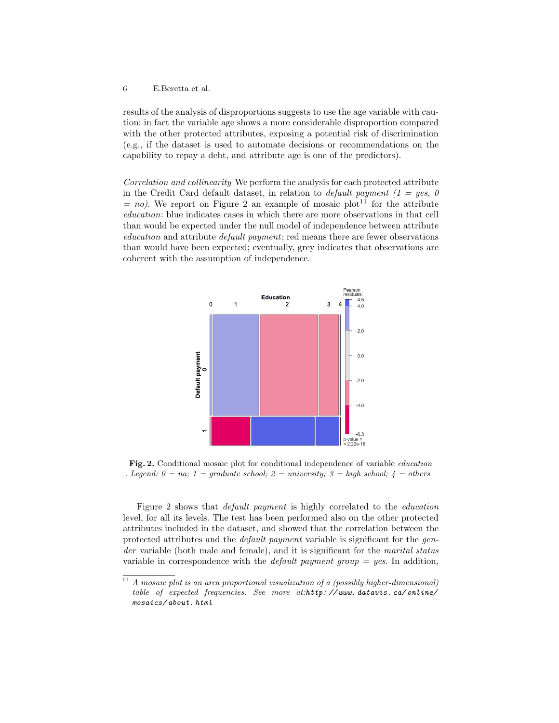results of the analysis of disproportions suggests to use the age variable with caution: in fact the variable age shows a more considerable disproportion compared with the other protected attributes, exposing a potential risk of discrimination (e.g., if the dataset is used to automate decisions or recommendations on the capability to repay a debt, and attribute age is one of the predictors).

Correlation and collinearity We perform the analysis for each protected attribute in the Credit Card default dataset, in relation to *default payment* ( $1 = yes, 0$ )  $= no$ ). We report on Figure 2 an example of mosaic plot<sup>11</sup> for the attribute education: blue indicates cases in which there are more observations in that cell than would be expected under the null model of independence between attribute education and attribute default payment; red means there are fewer observations than would have been expected; eventually, grey indicates that observations are coherent with the assumption of independence.



Fig. 2. Conditional mosaic plot for conditional independence of variable education . Legend:  $0 = na$ ;  $1 = graduate school$ ;  $2 = university$ ;  $3 = high school$ ;  $4 = others$ 

Figure 2 shows that default payment is highly correlated to the education level, for all its levels. The test has been performed also on the other protected attributes included in the dataset, and showed that the correlation between the protected attributes and the default payment variable is significant for the gender variable (both male and female), and it is significant for the *marital status* variable in correspondence with the *default payment group* = yes. In addition,

 $11$  A mosaic plot is an area proportional visualization of a (possibly higher-dimensional) table of expected frequencies. See more at:http: // www. datavis. ca/ online/ mosaics/ about. html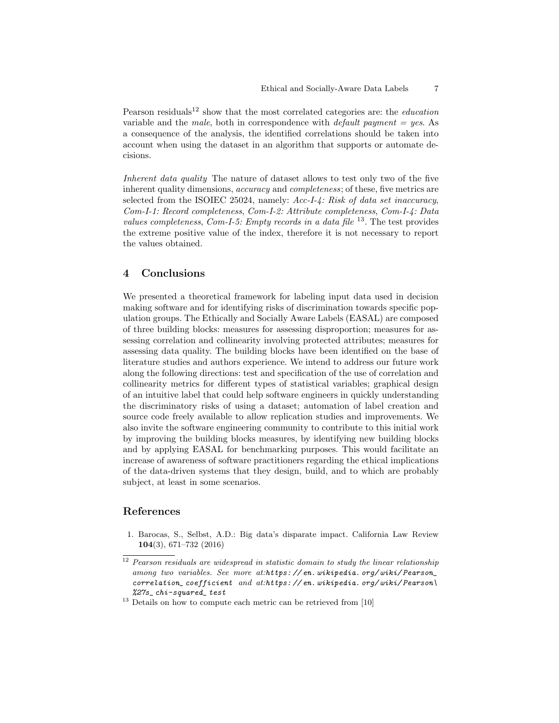Pearson residuals<sup>12</sup> show that the most correlated categories are: the *education* variable and the male, both in correspondence with *default payment* = yes. As a consequence of the analysis, the identified correlations should be taken into account when using the dataset in an algorithm that supports or automate decisions.

Inherent data quality The nature of dataset allows to test only two of the five inherent quality dimensions, *accuracy* and *completeness*; of these, five metrics are selected from the ISOIEC 25024, namely: Acc-I-4: Risk of data set inaccuracy, Com-I-1: Record completeness, Com-I-2: Attribute completeness, Com-I-4: Data values completeness, Com-I-5: Empty records in a data file  $^{13}$ . The test provides the extreme positive value of the index, therefore it is not necessary to report the values obtained.

# 4 Conclusions

We presented a theoretical framework for labeling input data used in decision making software and for identifying risks of discrimination towards specific population groups. The Ethically and Socially Aware Labels (EASAL) are composed of three building blocks: measures for assessing disproportion; measures for assessing correlation and collinearity involving protected attributes; measures for assessing data quality. The building blocks have been identified on the base of literature studies and authors experience. We intend to address our future work along the following directions: test and specification of the use of correlation and collinearity metrics for different types of statistical variables; graphical design of an intuitive label that could help software engineers in quickly understanding the discriminatory risks of using a dataset; automation of label creation and source code freely available to allow replication studies and improvements. We also invite the software engineering community to contribute to this initial work by improving the building blocks measures, by identifying new building blocks and by applying EASAL for benchmarking purposes. This would facilitate an increase of awareness of software practitioners regarding the ethical implications of the data-driven systems that they design, build, and to which are probably subject, at least in some scenarios.

# References

1. Barocas, S., Selbst, A.D.: Big data's disparate impact. California Law Review 104(3), 671–732 (2016)

 $12$  Pearson residuals are widespread in statistic domain to study the linear relationship among two variables. See more at:https: // en. wikipedia. org/ wiki/ Pearson\_ correlation\_ coefficient and at:https: // en. wikipedia. org/ wiki/ Pearson\ %27s\_ chi-squared\_ test

 $13$  Details on how to compute each metric can be retrieved from [10]